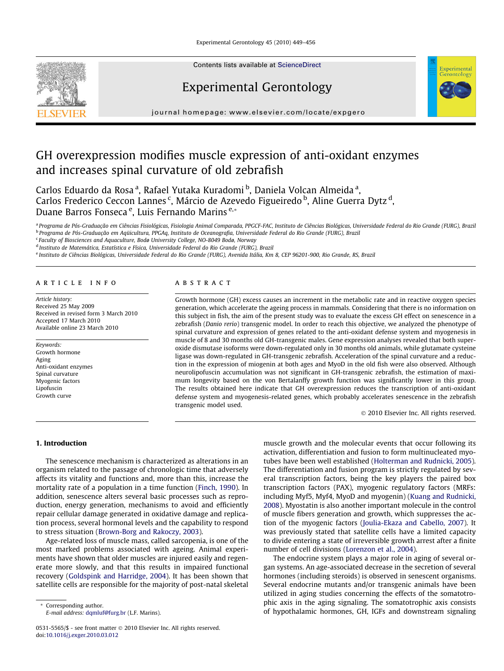Experimental Gerontology 45 (2010) 449–456



Contents lists available at [ScienceDirect](http://www.sciencedirect.com/science/journal/05315565)

# Experimental Gerontology



journal homepage: [www.elsevier.com/locate/expgero](http://www.elsevier.com/locate/expgero)

# GH overexpression modifies muscle expression of anti-oxidant enzymes and increases spinal curvature of old zebrafish

Carlos Eduardo da Rosaª, Rafael Yutaka Kuradomi <sup>b</sup>, Daniela Volcan Almeidaª, Carlos Frederico Ceccon Lannes<sup>c</sup>, Márcio de Azevedo Figueiredo <sup>b</sup>, Aline Guerra Dytz <sup>d</sup>, Duane Barros Fonseca<sup>e</sup>, Luis Fernando Marins<sup>e,</sup>\*

a Programa de Pós-Graduação em Ciências Fisiológicas, Fisiologia Animal Comparada, PPGCF-FAC, Instituto de Ciências Biológicas, Universidade Federal do Rio Grande (FURG), Brazil <sup>b</sup> Programa de Pós-Graduação em Aqüicultura, PPGAq, Instituto de Oceanografia, Universidade Federal do Rio Grande (FURG), Brazil

<sup>c</sup> Faculty of Biosciences and Aquaculture, Bodø University College, NO-8049 Bodø, Norway

<sup>d</sup> Instituto de Matemática, Estatística e Física, Universidade Federal do Rio Grande (FURG), Brazil

<sup>e</sup> Instituto de Ciências Biológicas, Universidade Federal do Rio Grande (FURG), Avenida Itália, Km 8, CEP 96201-900, Rio Grande, RS, Brazil

#### article info

Article history: Received 25 May 2009 Received in revised form 3 March 2010 Accepted 17 March 2010 Available online 23 March 2010

#### Keywords: Growth hormone Aging Anti-oxidant enzymes Spinal curvature Myogenic factors Lipofuscin Growth curve

## **ABSTRACT**

Growth hormone (GH) excess causes an increment in the metabolic rate and in reactive oxygen species generation, which accelerate the ageing process in mammals. Considering that there is no information on this subject in fish, the aim of the present study was to evaluate the excess GH effect on senescence in a zebrafish (Danio rerio) transgenic model. In order to reach this objective, we analyzed the phenotype of spinal curvature and expression of genes related to the anti-oxidant defense system and myogenesis in muscle of 8 and 30 months old GH-transgenic males. Gene expression analyses revealed that both superoxide dismutase isoforms were down-regulated only in 30 months old animals, while glutamate cysteine ligase was down-regulated in GH-transgenic zebrafish. Acceleration of the spinal curvature and a reduction in the expression of miogenin at both ages and MyoD in the old fish were also observed. Although neurolipofuscin accumulation was not significant in GH-transgenic zebrafish, the estimation of maximum longevity based on the von Bertalanffy growth function was significantly lower in this group. The results obtained here indicate that GH overexpression reduces the transcription of anti-oxidant defense system and myogenesis-related genes, which probably accelerates senescence in the zebrafish transgenic model used.

- 2010 Elsevier Inc. All rights reserved.

## 1. Introduction

The senescence mechanism is characterized as alterations in an organism related to the passage of chronologic time that adversely affects its vitality and functions and, more than this, increase the mortality rate of a population in a time function [\(Finch, 1990](#page-7-0)). In addition, senescence alters several basic processes such as reproduction, energy generation, mechanisms to avoid and efficiently repair cellular damage generated in oxidative damage and replication process, several hormonal levels and the capability to respond to stress situation [\(Brown-Borg and Rakoczy, 2003](#page-6-0)).

Age-related loss of muscle mass, called sarcopenia, is one of the most marked problems associated with ageing. Animal experiments have shown that older muscles are injured easily and regenerate more slowly, and that this results in impaired functional recovery [\(Goldspink and Harridge, 2004](#page-7-0)). It has been shown that satellite cells are responsible for the majority of post-natal skeletal

Corresponding author. E-mail address: [dqmluf@furg.br](mailto:dqmluf@furg.br) (L.F. Marins). muscle growth and the molecular events that occur following its activation, differentiation and fusion to form multinucleated myotubes have been well established [\(Holterman and Rudnicki, 2005\)](#page-7-0). The differentiation and fusion program is strictly regulated by several transcription factors, being the key players the paired box transcription factors (PAX), myogenic regulatory factors (MRFs: including Myf5, Myf4, MyoD and myogenin) ([Kuang and Rudnicki,](#page-7-0) [2008](#page-7-0)). Myostatin is also another important molecule in the control of muscle fibers generation and growth, which suppresses the action of the myogenic factors [\(Joulia-Ekaza and Cabello, 2007\)](#page-7-0). It was previously stated that satellite cells have a limited capacity to divide entering a state of irreversible growth arrest after a finite number of cell divisions ([Lorenzon et al., 2004](#page-7-0)).

The endocrine system plays a major role in aging of several organ systems. An age-associated decrease in the secretion of several hormones (including steroids) is observed in senescent organisms. Several endocrine mutants and/or transgenic animals have been utilized in aging studies concerning the effects of the somatotrophic axis in the aging signaling. The somatotrophic axis consists of hypothalamic hormones, GH, IGFs and downstream signaling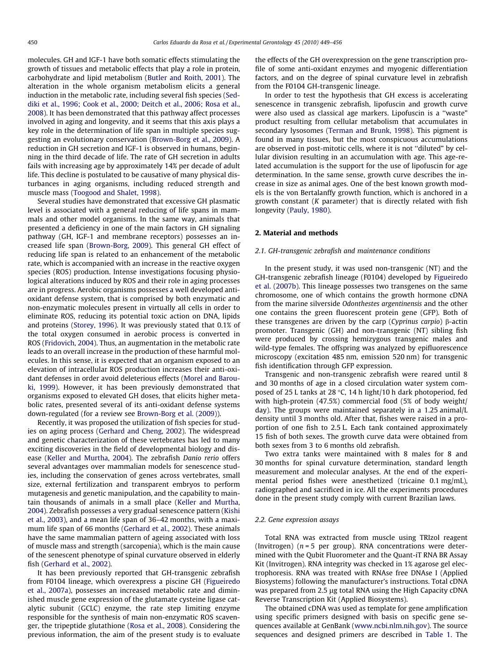molecules. GH and IGF-1 have both somatic effects stimulating the growth of tissues and metabolic effects that play a role in protein, carbohydrate and lipid metabolism [\(Butler and Roith, 2001\)](#page-6-0). The alteration in the whole organism metabolism elicits a general induction in the metabolic rate, including several fish species [\(Sed](#page-7-0)[diki et al., 1996; Cook et al., 2000; Deitch et al., 2006; Rosa et al.,](#page-7-0) [2008\)](#page-7-0). It has been demonstrated that this pathway affect processes involved in aging and longevity, and it seems that this axis plays a key role in the determination of life span in multiple species suggesting an evolutionary conservation ([Brown-Borg et al., 2009\)](#page-6-0). A reduction in GH secretion and IGF-1 is observed in humans, beginning in the third decade of life. The rate of GH secretion in adults fails with increasing age by approximately 14% per decade of adult life. This decline is postulated to be causative of many physical disturbances in aging organisms, including reduced strength and muscle mass [\(Toogood and Shalet, 1998](#page-7-0)).

Several studies have demonstrated that excessive GH plasmatic level is associated with a general reducing of life spans in mammals and other model organisms. In the same way, animals that presented a deficiency in one of the main factors in GH signaling pathway (GH, IGF-1 and membrane receptors) possesses an increased life span ([Brown-Borg, 2009\)](#page-6-0). This general GH effect of reducing life span is related to an enhancement of the metabolic rate, which is accompanied with an increase in the reactive oxygen species (ROS) production. Intense investigations focusing physiological alterations induced by ROS and their role in aging processes are in progress. Aerobic organisms possesses a well developed antioxidant defense system, that is comprised by both enzymatic and non-enzymatic molecules present in virtually all cells in order to eliminate ROS, reducing its potential toxic action on DNA, lipids and proteins [\(Storey, 1996](#page-7-0)). It was previously stated that 0.1% of the total oxygen consumed in aerobic process is converted in ROS ([Fridovich, 2004\)](#page-7-0). Thus, an augmentation in the metabolic rate leads to an overall increase in the production of these harmful molecules. In this sense, it is expected that an organism exposed to an elevation of intracellular ROS production increases their anti-oxidant defenses in order avoid deleterious effects [\(Morel and Barou](#page-7-0)[ki, 1999](#page-7-0)). However, it has been previously demonstrated that organisms exposed to elevated GH doses, that elicits higher metabolic rates, presented several of its anti-oxidant defense systems down-regulated (for a review see [Brown-Borg et al. \(2009\)\)](#page-6-0).

Recently, it was proposed the utilization of fish species for studies on aging process ([Gerhard and Cheng, 2002](#page-7-0)). The widespread and genetic characterization of these vertebrates has led to many exciting discoveries in the field of developmental biology and disease ([Keller and Murtha, 2004](#page-7-0)). The zebrafish Danio rerio offers several advantages over mammalian models for senescence studies, including the conservation of genes across vertebrates, small size, external fertilization and transparent embryos to perform mutagenesis and genetic manipulation, and the capability to maintain thousands of animals in a small place ([Keller and Murtha,](#page-7-0) [2004\)](#page-7-0). Zebrafish possesses a very gradual senescence pattern ([Kishi](#page-7-0) [et al., 2003\)](#page-7-0), and a mean life span of 36–42 months, with a maximum life span of 66 months ([Gerhard et al., 2002](#page-7-0)). These animals have the same mammalian pattern of ageing associated with loss of muscle mass and strength (sarcopenia), which is the main cause of the senescent phenotype of spinal curvature observed in elderly fish [\(Gerhard et al., 2002\)](#page-7-0).

It has been previously reported that GH-transgenic zebrafish from F0104 lineage, which overexpress a piscine GH ([Figueiredo](#page-7-0) [et al., 2007a\)](#page-7-0), possesses an increased metabolic rate and diminished muscle gene expression of the glutamate cysteine ligase catalytic subunit (GCLC) enzyme, the rate step limiting enzyme responsible for the synthesis of main non-enzymatic ROS scavenger, the tripeptide glutathione ([Rosa et al., 2008](#page-7-0)). Considering the previous information, the aim of the present study is to evaluate the effects of the GH overexpression on the gene transcription profile of some anti-oxidant enzymes and myogenic differentiation factors, and on the degree of spinal curvature level in zebrafish from the F0104 GH-transgenic lineage.

In order to test the hypothesis that GH excess is accelerating senescence in transgenic zebrafish, lipofuscin and growth curve were also used as classical age markers. Lipofuscin is a ''waste" product resulting from cellular metabolism that accumulates in secondary lysosomes ([Terman and Brunk, 1998\)](#page-7-0). This pigment is found in many tissues, but the most conspicuous accumulations are observed in post-mitotic cells, where it is not ''diluted" by cellular division resulting in an accumulation with age. This age-related accumulation is the support for the use of lipofuscin for age determination. In the same sense, growth curve describes the increase in size as animal ages. One of the best known growth models is the von Bertalanffy growth function, which is anchored in a growth constant (K parameter) that is directly related with fish longevity ([Pauly, 1980\)](#page-7-0).

## 2. Material and methods

### 2.1. GH-transgenic zebrafish and maintenance conditions

In the present study, it was used non-transgenic (NT) and the GH-transgenic zebrafish lineage (F0104) developed by [Figueiredo](#page-7-0) [et al. \(2007b\).](#page-7-0) This lineage possesses two transgenes on the same chromosome, one of which contains the growth hormone cDNA from the marine silverside Odonthestes argentinensis and the other one contains the green fluorescent protein gene (GFP). Both of these transgenes are driven by the carp (Cyprinus carpio)  $\beta$ -actin promoter. Transgenic (GH) and non-transgenic (NT) sibling fish were produced by crossing hemizygous transgenic males and wild-type females. The offspring was analyzed by epifluorescence microscopy (excitation 485 nm, emission 520 nm) for transgenic fish identification through GFP expression.

Transgenic and non-transgenic zebrafish were reared until 8 and 30 months of age in a closed circulation water system composed of 25 L tanks at 28  $\degree$ C, 14 h light/10 h dark photoperiod, fed with high-protein (47.5%) commercial food (5% of body weight/ day). The groups were maintained separately in a 1.25 animal/L density until 3 months old. After that, fishes were raised in a proportion of one fish to 2.5 L. Each tank contained approximately 15 fish of both sexes. The growth curve data were obtained from both sexes from 3 to 6 months old zebrafish.

Two extra tanks were maintained with 8 males for 8 and 30 months for spinal curvature determination, standard length measurement and molecular analyses. At the end of the experimental period fishes were anesthetized (tricaine 0.1 mg/mL), radiographed and sacrificed in ice. All the experiments procedures done in the present study comply with current Brazilian laws.

#### 2.2. Gene expression assays

Total RNA was extracted from muscle using TRIzol reagent (Invitrogen)  $(n = 5$  per group). RNA concentrations were determined with the Qubit Fluorometer and the Quant-iT RNA BR Assay Kit (Invitrogen). RNA integrity was checked in 1% agarose gel electrophoresis. RNA was treated with RNAse free DNAse I (Applied Biosystems) following the manufacturer's instructions. Total cDNA was prepared from 2.5 µg total RNA using the High Capacity cDNA Reverse Transcription Kit (Applied Biosystems).

The obtained cDNA was used as template for gene amplification using specific primers designed with basis on specific gene sequences available at GenBank [\(www.ncbi.nlm.nih.gov\)](http://www.ncbi.nlm.nih.gov). The source sequences and designed primers are described in [Table 1.](#page-2-0) The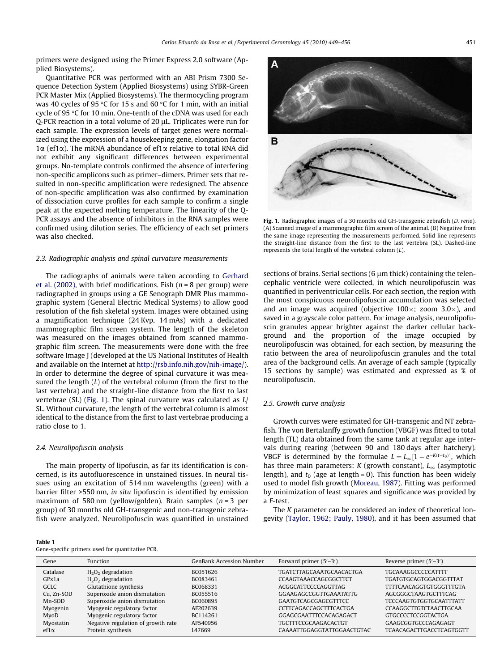<span id="page-2-0"></span>primers were designed using the Primer Express 2.0 software (Applied Biosystems).

Quantitative PCR was performed with an ABI Prism 7300 Sequence Detection System (Applied Biosystems) using SYBR-Green PCR Master Mix (Applied Biosystems). The thermocycling program was 40 cycles of 95 °C for 15 s and 60 °C for 1 min, with an initial cycle of 95 °C for 10 min. One-tenth of the cDNA was used for each  $Q$ -PCR reaction in a total volume of 20  $\mu$ L. Triplicates were run for each sample. The expression levels of target genes were normalized using the expression of a housekeeping gene, elongation factor  $1\alpha$  (ef1 $\alpha$ ). The mRNA abundance of ef1 $\alpha$  relative to total RNA did not exhibit any significant differences between experimental groups. No-template controls confirmed the absence of interfering non-specific amplicons such as primer–dimers. Primer sets that resulted in non-specific amplification were redesigned. The absence of non-specific amplification was also confirmed by examination of dissociation curve profiles for each sample to confirm a single peak at the expected melting temperature. The linearity of the Q-PCR assays and the absence of inhibitors in the RNA samples were confirmed using dilution series. The efficiency of each set primers was also checked.

#### 2.3. Radiographic analysis and spinal curvature measurements

The radiographs of animals were taken according to [Gerhard](#page-7-0) [et al. \(2002\),](#page-7-0) with brief modifications. Fish ( $n = 8$  per group) were radiographed in groups using a GE Senograph DMR Plus mammographic system (General Electric Medical Systems) to allow good resolution of the fish skeletal system. Images were obtained using a magnification technique (24 Kvp, 14 mAs) with a dedicated mammographic film screen system. The length of the skeleton was measured on the images obtained from scanned mammographic film screen. The measurements were done with the free software Image J (developed at the US National Institutes of Health and available on the Internet at [http://rsb.info.nih.gov/nih-image/\)](http://rsb.info.nih.gov/nih-image/). In order to determine the degree of spinal curvature it was measured the length  $(L)$  of the vertebral column (from the first to the last vertebra) and the straight-line distance from the first to last vertebrae (SL) (Fig. 1). The spinal curvature was calculated as  $L/$ SL. Without curvature, the length of the vertebral column is almost identical to the distance from the first to last vertebrae producing a ratio close to 1.

#### 2.4. Neurolipofuscin analysis

The main property of lipofuscin, as far its identification is concerned, is its autofluorescence in unstained tissues. In neural tissues using an excitation of 514 nm wavelengths (green) with a barrier filter >550 nm, in situ lipofuscin is identified by emission maximum of 580 nm (yellow/golden). Brain samples  $(n=3$  per group) of 30 months old GH-transgenic and non-transgenic zebrafish were analyzed. Neurolipofuscin was quantified in unstained

Table 1

|  | Gene-specific primers used for quantitative PCR. |  |
|--|--------------------------------------------------|--|
|  |                                                  |  |



Fig. 1. Radiographic images of a 30 months old GH-transgenic zebrafish (D. rerio). (A) Scanned image of a mammographic film screen of the animal. (B) Negative from the same image representing the measurements performed. Solid line represents the straight-line distance from the first to the last vertebra (SL). Dashed-line represents the total length of the vertebral column  $(L)$ .

sections of brains. Serial sections (6  $\mu$ m thick) containing the telencephalic ventricle were collected, in which neurolipofuscin was quantified in periventricular cells. For each section, the region with the most conspicuous neurolipofuscin accumulation was selected and an image was acquired (objective 100 $\times$ ; zoom 3.0 $\times$ ), and saved in a grayscale color pattern. For image analysis, neurolipofuscin granules appear brighter against the darker cellular background and the proportion of the image occupied by neurolipofuscin was obtained, for each section, by measuring the ratio between the area of neurolipofuscin granules and the total area of the background cells. An average of each sample (typically 15 sections by sample) was estimated and expressed as % of neurolipofuscin.

### 2.5. Growth curve analysis

Growth curves were estimated for GH-transgenic and NT zebrafish. The von Bertalanffy growth function (VBGF) was fitted to total length (TL) data obtained from the same tank at regular age intervals during rearing (between 90 and 180 days after hatchery). VBGF is determined by the formulae  $L = L_{\infty}[1 - e^{-K(t-t_0)}]$ , which has three main parameters: K (growth constant),  $L_{\infty}$  (asymptotic length), and  $t_0$  (age at length = 0). This function has been widely used to model fish growth ([Moreau, 1987](#page-7-0)). Fitting was performed by minimization of least squares and significance was provided by a F-test.

The K parameter can be considered an index of theoretical longevity ([Taylor, 1962; Pauly, 1980\)](#page-7-0), and it has been assumed that

| Gene         | <b>Function</b>                    | GenBank Accession Number | Forward primer $(5'-3')$        | Reverse primer $(5'-3')$        |
|--------------|------------------------------------|--------------------------|---------------------------------|---------------------------------|
| Catalase     | $H_2O_2$ degradation               | BC051626                 | <b>TGATCTTAGCAAATGCAACACTGA</b> | <b>TGCAAAGGCCCCCATTTT</b>       |
| GPx1a        | $H_2O_2$ degradation               | BC083461                 | <b>CCAAGTAAACCAGCGGCTTCT</b>    | <b>TGATGTGCAGTGGACGGTTTAT</b>   |
| <b>GCLC</b>  | Glutathione synthesis              | BC068331                 | ACGGCATTCCCCAGGTTAG             | TTTTCAACAGGTGTGGGTTTGTA         |
| Cu. Zn-SOD   | Superoxide anion dismutation       | BC055516                 | <b>GGAAGAGCCGGTTGAAATATTG</b>   | AGCGGGCTAAGTGCTTTCAG            |
| Mn-SOD       | Superoxide anion dismutation       | BC060895                 | <b>GAATGTCAGCGAGCGTTTCC</b>     | <b>TCCCAAGTGTGGTGCAATTTATT</b>  |
| Myogenin     | Myogenic regulatory factor         | AF202639                 | <b>CCTTCAGACCAGCTTTCACTGA</b>   | CCAAGGCTTGTCTAACTTGCAA          |
| MyoD         | Myogenic regulatory factor         | BC114261                 | GGAGCGAATTTCCACAGAGACT          | <b>GTGCCCCTCCGGTACTGA</b>       |
| Myostatin    | Negative regulation of growth rate | AF540956                 | <b>TGCTTTCCGCAAGACACTGT</b>     | GAAGCGGTGCCCAGAGAGT             |
| ef1 $\alpha$ | Protein synthesis                  | 1.47669                  | CAAAATTGGAGGTATTGGAACTGTAC      | <b>TCAACAGACTTGACCTCAGTGGTT</b> |
|              |                                    |                          |                                 |                                 |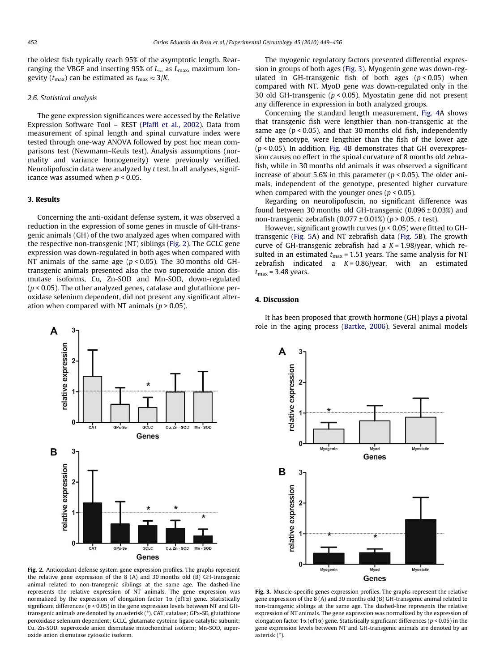the oldest fish typically reach 95% of the asymptotic length. Rearranging the VBGF and inserting 95% of  $L_{\infty}$  as  $L_{\max}$ , maximum longevity ( $t_{\text{max}}$ ) can be estimated as  $t_{\text{max}} \approx 3/K$ .

#### 2.6. Statistical analysis

The gene expression significances were accessed by the Relative Expression Software Tool – REST [\(Pfaffl et al., 2002\)](#page-7-0). Data from measurement of spinal length and spinal curvature index were tested through one-way ANOVA followed by post hoc mean comparisons test (Newmann–Keuls test). Analysis assumptions (normality and variance homogeneity) were previously verified. Neurolipofuscin data were analyzed by t test. In all analyses, significance was assumed when  $p < 0.05$ .

# 3. Results

Concerning the anti-oxidant defense system, it was observed a reduction in the expression of some genes in muscle of GH-transgenic animals (GH) of the two analyzed ages when compared with the respective non-transgenic (NT) siblings (Fig. 2). The GCLC gene expression was down-regulated in both ages when compared with NT animals of the same age ( $p < 0.05$ ). The 30 months old GHtransgenic animals presented also the two superoxide anion dismutase isoforms, Cu, Zn-SOD and Mn-SOD, down-regulated  $(p < 0.05)$ . The other analyzed genes, catalase and glutathione peroxidase selenium dependent, did not present any significant alteration when compared with NT animals ( $p > 0.05$ ).



Fig. 2. Antioxidant defense system gene expression profiles. The graphs represent the relative gene expression of the 8 (A) and 30 months old (B) GH-transgenic animal related to non-transgenic siblings at the same age. The dashed-line represents the relative expression of NT animals. The gene expression was normalized by the expression of elongation factor  $1\alpha$  (ef1 $\alpha$ ) gene. Statistically significant differences ( $p < 0.05$ ) in the gene expression levels between NT and GHtransgenic animals are denoted by an asterisk (\*). CAT, catalase; GPx-SE, glutathione peroxidase selenium dependent; GCLC, glutamate cysteine ligase catalytic subunit; Cu, Zn-SOD, superoxide anion dismutase mitochondrial isoform; Mn-SOD, superoxide anion dismutase cytosolic isoform.

The myogenic regulatory factors presented differential expression in groups of both ages (Fig. 3). Myogenin gene was down-regulated in GH-transgenic fish of both ages  $(p < 0.05)$  when compared with NT. MyoD gene was down-regulated only in the 30 old GH-transgenic ( $p < 0.05$ ). Myostatin gene did not present any difference in expression in both analyzed groups.

Concerning the standard length measurement, [Fig. 4A](#page-4-0) shows that transgenic fish were lengthier than non-transgenic at the same age ( $p < 0.05$ ), and that 30 months old fish, independently of the genotype, were lengthier than the fish of the lower age  $(p < 0.05)$ . In addition, [Fig. 4B](#page-4-0) demonstrates that GH overexpression causes no effect in the spinal curvature of 8 months old zebrafish, while in 30 months old animals it was observed a significant increase of about 5.6% in this parameter ( $p < 0.05$ ). The older animals, independent of the genotype, presented higher curvature when compared with the younger ones ( $p < 0.05$ ).

Regarding on neurolipofuscin, no significant difference was found between 30 months old GH-transgenic  $(0.096 \pm 0.03\%)$  and non-transgenic zebrafish  $(0.077 \pm 0.01\%)$  (p > 0.05, t test).

However, significant growth curves ( $p < 0.05$ ) were fitted to GHtransgenic ([Fig. 5A](#page-5-0)) and NT zebrafish data [\(Fig. 5B](#page-5-0)). The growth curve of GH-transgenic zebrafish had a  $K = 1.98$ /year, which resulted in an estimated  $t_{\text{max}}$  = 1.51 years. The same analysis for NT zebrafish indicated a  $K = 0.86$ /year, with an estimated  $t_{\text{max}}$  = 3.48 years.

## 4. Discussion



Fig. 3. Muscle-specific genes expression profiles. The graphs represent the relative gene expression of the 8 (A) and 30 months old (B) GH-transgenic animal related to non-transgenic siblings at the same age. The dashed-line represents the relative expression of NT animals. The gene expression was normalized by the expression of elongation factor 1 $\alpha$  (ef1 $\alpha$ ) gene. Statistically significant differences ( $p < 0.05$ ) in the gene expression levels between NT and GH-transgenic animals are denoted by an asterisk (\*).

It has been proposed that growth hormone (GH) plays a pivotal role in the aging process ([Bartke, 2006\)](#page-6-0). Several animal models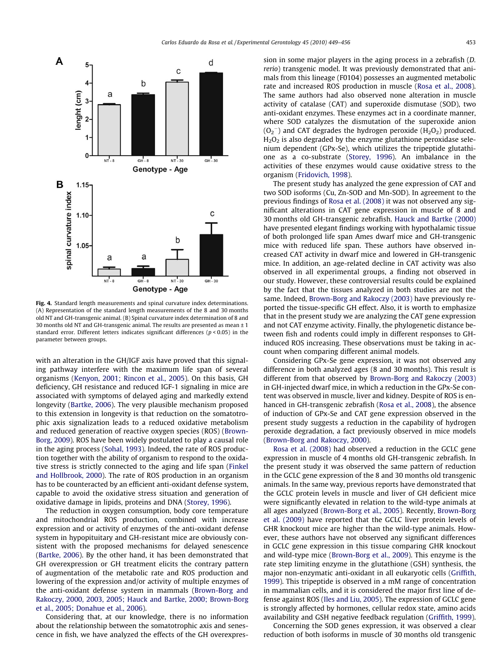<span id="page-4-0"></span>

Fig. 4. Standard length measurements and spinal curvature index determinations. (A) Representation of the standard length measurements of the 8 and 30 months old NT and GH-transgenic animal. (B) Spinal curvature index determination of 8 and 30 months old NT and GH-transgenic animal. The results are presented as mean  $\pm 1$ standard error. Different letters indicates significant differences ( $p < 0.05$ ) in the parameter between groups.

with an alteration in the GH/IGF axis have proved that this signaling pathway interfere with the maximum life span of several organisms ([Kenyon, 2001; Rincon et al., 2005](#page-7-0)). On this basis, GH deficiency, GH resistance and reduced IGF-1 signaling in mice are associated with symptoms of delayed aging and markedly extend longevity ([Bartke, 2006](#page-6-0)). The very plausible mechanism proposed to this extension in longevity is that reduction on the somatotrophic axis signalization leads to a reduced oxidative metabolism and reduced generation of reactive oxygen species (ROS) [\(Brown-](#page-6-0)[Borg, 2009\)](#page-6-0). ROS have been widely postulated to play a causal role in the aging process ([Sohal, 1993](#page-7-0)). Indeed, the rate of ROS production together with the ability of organism to respond to the oxidative stress is strictly connected to the aging and life span ([Finkel](#page-7-0) [and Hollbrook, 2000\)](#page-7-0). The rate of ROS production in an organism has to be counteracted by an efficient anti-oxidant defense system, capable to avoid the oxidative stress situation and generation of oxidative damage in lipids, proteins and DNA [\(Storey, 1996\)](#page-7-0).

The reduction in oxygen consumption, body core temperature and mitochondrial ROS production, combined with increase expression and or activity of enzymes of the anti-oxidant defense system in hypopituitary and GH-resistant mice are obviously consistent with the proposed mechanisms for delayed senescence ([Bartke, 2006\)](#page-6-0). By the other hand, it has been demonstrated that GH overexpression or GH treatment elicits the contrary pattern of augmentation of the metabolic rate and ROS production and lowering of the expression and/or activity of multiple enzymes of the anti-oxidant defense system in mammals [\(Brown-Borg and](#page-6-0) [Rakoczy, 2000, 2003, 2005; Hauck and Bartke, 2000; Brown-Borg](#page-6-0) [et al., 2005; Donahue et al., 2006\)](#page-6-0).

Considering that, at our knowledge, there is no information about the relationship between the somatotrophic axis and senescence in fish, we have analyzed the effects of the GH overexpression in some major players in the aging process in a zebrafish (D. rerio) transgenic model. It was previously demonstrated that animals from this lineage (F0104) possesses an augmented metabolic rate and increased ROS production in muscle [\(Rosa et al., 2008\)](#page-7-0). The same authors had also observed none alteration in muscle activity of catalase (CAT) and superoxide dismutase (SOD), two anti-oxidant enzymes. These enzymes act in a coordinate manner, where SOD catalyzes the dismutation of the superoxide anion  $(O_2^-)$  and CAT degrades the hydrogen peroxide ( $H_2O_2$ ) produced.  $H<sub>2</sub>O<sub>2</sub>$  is also degraded by the enzyme glutathione peroxidase selenium dependent (GPx-Se), which utilizes the tripeptide glutathione as a co-substrate [\(Storey, 1996\)](#page-7-0). An imbalance in the activities of these enzymes would cause oxidative stress to the organism [\(Fridovich, 1998](#page-7-0)).

The present study has analyzed the gene expression of CAT and two SOD isoforms (Cu, Zn-SOD and Mn-SOD). In agreement to the previous findings of [Rosa et al. \(2008\)](#page-7-0) it was not observed any significant alterations in CAT gene expression in muscle of 8 and 30 months old GH-transgenic zebrafish. [Hauck and Bartke \(2000\)](#page-7-0) have presented elegant findings working with hypothalamic tissue of both prolonged life span Ames dwarf mice and GH-transgenic mice with reduced life span. These authors have observed increased CAT activity in dwarf mice and lowered in GH-transgenic mice. In addition, an age-related decline in CAT activity was also observed in all experimental groups, a finding not observed in our study. However, these controversial results could be explained by the fact that the tissues analyzed in both studies are not the same. Indeed, [Brown-Borg and Rakoczy \(2003\)](#page-6-0) have previously reported the tissue-specific GH effect. Also, it is worth to emphasize that in the present study we are analyzing the CAT gene expression and not CAT enzyme activity. Finally, the phylogenetic distance between fish and rodents could imply in different responses to GHinduced ROS increasing. These observations must be taking in account when comparing different animal models.

Considering GPx-Se gene expression, it was not observed any difference in both analyzed ages (8 and 30 months). This result is different from that observed by [Brown-Borg and Rakoczy \(2003\)](#page-6-0) in GH-injected dwarf mice, in which a reduction in the GPx-Se content was observed in muscle, liver and kidney. Despite of ROS is enhanced in GH-transgenic zebrafish [\(Rosa et al., 2008](#page-7-0)), the absence of induction of GPx-Se and CAT gene expression observed in the present study suggests a reduction in the capability of hydrogen peroxide degradation, a fact previously observed in mice models ([Brown-Borg and Rakoczy, 2000](#page-6-0)).

[Rosa et al. \(2008\)](#page-7-0) had observed a reduction in the GCLC gene expression in muscle of 4 months old GH-transgenic zebrafish. In the present study it was observed the same pattern of reduction in the GCLC gene expression of the 8 and 30 months old transgenic animals. In the same way, previous reports have demonstrated that the GCLC protein levels in muscle and liver of GH deficient mice were significantly elevated in relation to the wild-type animals at all ages analyzed [\(Brown-Borg et al., 2005\)](#page-6-0). Recently, [Brown-Borg](#page-6-0) [et al. \(2009\)](#page-6-0) have reported that the GCLC liver protein levels of GHR knockout mice are higher than the wild-type animals. However, these authors have not observed any significant differences in GCLC gene expression in this tissue comparing GHR knockout and wild-type mice [\(Brown-Borg et al., 2009\)](#page-6-0). This enzyme is the rate step limiting enzyme in the glutathione (GSH) synthesis, the major non-enzymatic anti-oxidant in all eukaryotic cells [\(Griffith,](#page-7-0) [1999\)](#page-7-0). This tripeptide is observed in a mM range of concentration in mammalian cells, and it is considered the major first line of defense against ROS ([Iles and Liu, 2005](#page-7-0)). The expression of GCLC gene is strongly affected by hormones, cellular redox state, amino acids availability and GSH negative feedback regulation ([Griffith, 1999\)](#page-7-0).

Concerning the SOD genes expression, it was observed a clear reduction of both isoforms in muscle of 30 months old transgenic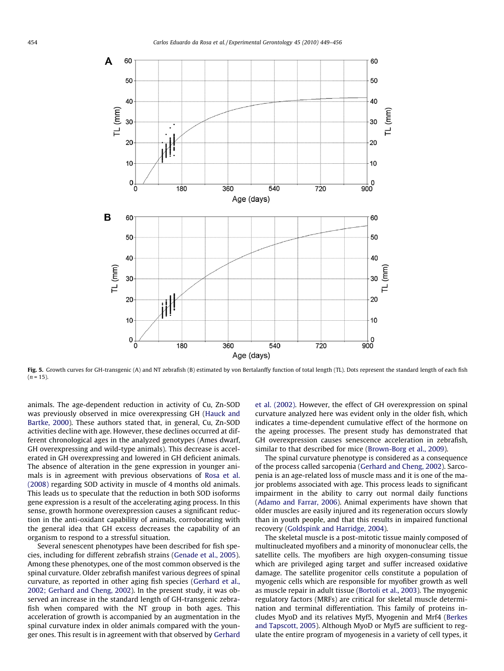<span id="page-5-0"></span>

Fig. 5. Growth curves for GH-transgenic (A) and NT zebrafish (B) estimated by von Bertalanffy function of total length (TL). Dots represent the standard length of each fish  $(n = 15)$ .

animals. The age-dependent reduction in activity of Cu, Zn-SOD was previously observed in mice overexpressing GH ([Hauck and](#page-7-0) [Bartke, 2000](#page-7-0)). These authors stated that, in general, Cu, Zn-SOD activities decline with age. However, these declines occurred at different chronological ages in the analyzed genotypes (Ames dwarf, GH overexpressing and wild-type animals). This decrease is accelerated in GH overexpressing and lowered in GH deficient animals. The absence of alteration in the gene expression in younger animals is in agreement with previous observations of [Rosa et al.](#page-7-0) [\(2008\)](#page-7-0) regarding SOD activity in muscle of 4 months old animals. This leads us to speculate that the reduction in both SOD isoforms gene expression is a result of the accelerating aging process. In this sense, growth hormone overexpression causes a significant reduction in the anti-oxidant capability of animals, corroborating with the general idea that GH excess decreases the capability of an organism to respond to a stressful situation.

Several senescent phenotypes have been described for fish species, including for different zebrafish strains ([Genade et al., 2005\)](#page-7-0). Among these phenotypes, one of the most common observed is the spinal curvature. Older zebrafish manifest various degrees of spinal curvature, as reported in other aging fish species ([Gerhard et al.,](#page-7-0) [2002; Gerhard and Cheng, 2002\)](#page-7-0). In the present study, it was observed an increase in the standard length of GH-transgenic zebrafish when compared with the NT group in both ages. This acceleration of growth is accompanied by an augmentation in the spinal curvature index in older animals compared with the younger ones. This result is in agreement with that observed by [Gerhard](#page-7-0) [et al. \(2002\).](#page-7-0) However, the effect of GH overexpression on spinal curvature analyzed here was evident only in the older fish, which indicates a time-dependent cumulative effect of the hormone on the ageing processes. The present study has demonstrated that GH overexpression causes senescence acceleration in zebrafish, similar to that described for mice [\(Brown-Borg et al., 2009](#page-6-0)).

The spinal curvature phenotype is considered as a consequence of the process called sarcopenia [\(Gerhard and Cheng, 2002\)](#page-7-0). Sarcopenia is an age-related loss of muscle mass and it is one of the major problems associated with age. This process leads to significant impairment in the ability to carry out normal daily functions ([Adamo and Farrar, 2006\)](#page-6-0). Animal experiments have shown that older muscles are easily injured and its regeneration occurs slowly than in youth people, and that this results in impaired functional recovery ([Goldspink and Harridge, 2004\)](#page-7-0).

The skeletal muscle is a post-mitotic tissue mainly composed of multinucleated myofibers and a minority of mononuclear cells, the satellite cells. The myofibers are high oxygen-consuming tissue which are privileged aging target and suffer increased oxidative damage. The satellite progenitor cells constitute a population of myogenic cells which are responsible for myofiber growth as well as muscle repair in adult tissue [\(Bortoli et al., 2003\)](#page-6-0). The myogenic regulatory factors (MRFs) are critical for skeletal muscle determination and terminal differentiation. This family of proteins includes MyoD and its relatives Myf5, Myogenin and Mrf4 ([Berkes](#page-6-0) [and Tapscott, 2005](#page-6-0)). Although MyoD or Myf5 are sufficient to regulate the entire program of myogenesis in a variety of cell types, it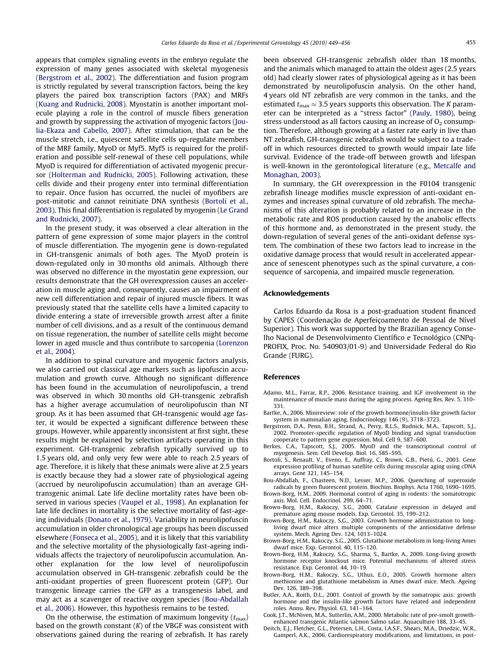<span id="page-6-0"></span>appears that complex signaling events in the embryo regulate the expression of many genes associated with skeletal myogenesis (Bergstrom et al., 2002). The differentiation and fusion program is strictly regulated by several transcription factors, being the key players the paired box transcription factors (PAX) and MRFs ([Kuang and Rudnicki, 2008](#page-7-0)). Myostatin is another important molecule playing a role in the control of muscle fibers generation and growth by suppressing the activation of myogenic factors [\(Jou](#page-7-0)[lia-Ekaza and Cabello, 2007](#page-7-0)). After stimulation, that can be the muscle stretch, i.e., quiescent satellite cells up-regulate members of the MRF family, MyoD or Myf5. Myf5 is required for the proliferation and possible self-renewal of these cell populations, while MyoD is required for differentiation of activated myogenic precursor ([Holterman and Rudnicki, 2005\)](#page-7-0). Following activation, these cells divide and their progeny enter into terminal differentiation to repair. Once fusion has occurred, the nuclei of myofibers are post-mitotic and cannot reinitiate DNA synthesis (Bortoli et al., 2003). This final differentiation is regulated by myogenin [\(Le Grand](#page-7-0) [and Rudnicki, 2007\)](#page-7-0).

In the present study, it was observed a clear alteration in the pattern of gene expression of some major players in the control of muscle differentiation. The myogenin gene is down-regulated in GH-transgenic animals of both ages. The MyoD protein is down-regulated only in 30 months old animals. Although there was observed no difference in the myostatin gene expression, our results demonstrate that the GH overexpression causes an acceleration in muscle aging and, consequently, causes an impairment of new cell differentiation and repair of injured muscle fibers. It was previously stated that the satellite cells have a limited capacity to divide entering a state of irreversible growth arrest after a finite number of cell divisions, and as a result of the continuous demand on tissue regeneration, the number of satellite cells might become lower in aged muscle and thus contribute to sarcopenia ([Lorenzon](#page-7-0)  $et$  al.  $2004$ ).

In addition to spinal curvature and myogenic factors analysis, we also carried out classical age markers such as lipofuscin accumulation and growth curve. Although no significant difference has been found in the accumulation of neurolipofuscin, a trend was observed in which 30 months old GH-transgenic zebrafish has a higher average accumulation of neurolipofuscin than NT group. As it has been assumed that GH-transgenic would age faster, it would be expected a significant difference between these groups. However, while apparently inconsistent at first sight, these results might be explained by selection artifacts operating in this experiment. GH-transgenic zebrafish typically survived up to 1.5 years old, and only very few were able to reach 2.5 years of age. Therefore, it is likely that these animals were alive at 2.5 years is exactly because they had a slower rate of physiological ageing (accrued by neurolipofuscin accumulation) than an average GHtransgenic animal. Late life decline mortality rates have been observed in various species [\(Vaupel et al., 1998\)](#page-7-0). An explanation for late life declines in mortality is the selective mortality of fast-ageing individuals [\(Donato et al., 1979](#page-7-0)). Variability in neurolipofuscin accumulation in older chronological age groups has been discussed elsewhere [\(Fonseca et al., 2005](#page-7-0)), and it is likely that this variability and the selective mortality of the physiologically fast-ageing individuals affects the trajectory of neurolipofuscin accumulation. Another explanation for the low level of neurolipofuscin accumulation observed in GH-transgenic zebrafish could be the anti-oxidant properties of green fluorescent protein (GFP). Our transgenic lineage carries the GFP as a transgenesis label, and may act as a scavenger of reactive oxygen species (Bou-Abdallah et al., 2006). However, this hypothesis remains to be tested.

On the otherwise, the estimation of maximum longevity  $(t_{\text{max}})$ based on the growth constant  $(K)$  of the VBGF was consistent with observations gained during the rearing of zebrafish. It has rarely been observed GH-transgenic zebrafish older than 18 months, and the animals which managed to attain the oldest ages (2.5 years old) had clearly slower rates of physiological ageing as it has been demonstrated by neurolipofuscin analysis. On the other hand, 4 years old NT zebrafish are very common in the tanks, and the estimated  $t_{\text{max}} \approx 3.5$  years supports this observation. The K parameter can be interpreted as a ''stress factor" ([Pauly, 1980](#page-7-0)), being stress understood as all factors causing an increase of  $O<sub>2</sub>$  consumption. Therefore, although growing at a faster rate early in live than NT zebrafish, GH-transgenic zebrafish would be subject to a tradeoff in which resources directed to growth would impair late life survival. Evidence of the trade-off between growth and lifespan is well-known in the gerontological literature (e.g., [Metcalfe and](#page-7-0) [Monaghan, 2003\)](#page-7-0).

In summary, the GH overexpression in the F0104 transgenic zebrafish lineage modifies muscle expression of anti-oxidant enzymes and increases spinal curvature of old zebrafish. The mechanisms of this alteration is probably related to an increase in the metabolic rate and ROS production caused by the anabolic effects of this hormone and, as demonstrated in the present study, the down-regulation of several genes of the anti-oxidant defense system. The combination of these two factors lead to increase in the oxidative damage process that would result in accelerated appearance of senescent phenotypes such as the spinal curvature, a consequence of sarcopenia, and impaired muscle regeneration.

### Acknowledgements

Carlos Eduardo da Rosa is a post-graduation student financed by CAPES (Coordenação de Aperfeiçoamento de Pessoal de Nível Superior). This work was supported by the Brazilian agency Conselho Nacional de Desenvolvimento Científico e Tecnológico (CNPq-PROFIX, Proc. No. 540903/01-9) and Universidade Federal do Rio Grande (FURG).

#### References

- Adamo, M.L., Farrar, R.P., 2006. Resistance training, and IGF involvement in the maintenance of muscle mass during the aging process. Ageing Res. Rev. 5, 310– 331.
- Bartke, A., 2006. Minireview: role of the growth hormone/insulin-like growth factor system in mammalian aging. Endocrinology 146 (9), 3718–3723.
- Bergstrom, D.A., Penn, B.H., Strand, A., Perry, R.L.S., Rudnick, M.A., Tapscott, S.J., 2002. Promoter-specific regulation of MyoD binding and signal transduction cooperate to pattern gene expression. Mol. Cell 9, 587–600.
- Berkes, C.A., Tapscott, S.J., 2005. MyoD and the transcriptional control of myogenesis. Sem. Cell Develop. Biol. 16, 585–595.
- Bortoli, S., Renault, V., Eveno, E., Auffray, C., Brown, G.B., Pietú, G., 2003. Gene expression profiling of human satellite cells during muscular aging using cDNA arrays. Gene 321, 145–154.
- Bou-Abdallah, F., Chasteen, N.D., Lesser, M.P., 2006. Quenching of superoxide radicals by green fluorescent protein. Biochim. Biophys. Acta 1760, 1690–1695.
- Brown-Borg, H.M., 2009. Hormonal control of aging in rodents: the somatotropic axis. Mol. Cell. Endocrinol. 299, 64–71.
- Brown-Borg, H.M., Rakoczy, S.G., 2000. Catalase expression in delayed and premature aging mouse models. Exp. Gerontol. 35, 199–212.
- Brown-Borg, H.M., Rakoczy, S.G., 2003. Growth hormone administration to longliving dwarf mice alters multiple components of the antioxidative defense system. Mech. Ageing Dev. 124, 1013–1024.
- Brown-Borg, H.M., Rakoczy, S.G., 2005. Glutathione metabolism in long-living Ames dwarf mice. Exp. Gerontol. 40, 115–120.
- Brown-Borg, H.M., Rakoczy, S.G., Sharma, S., Bartke, A., 2009. Long-living growth hormone receptor knockout mice. Potential mechanisms of altered stress resistance. Exp. Gerontol. 44, 10–19.
- Brown-Borg, H.M., Rakoczy, S.G., Uthus, E.O., 2005. Growth hormone alters methionine and glutathione metabolism in Ames dwarf mice. Mech. Ageing Dev. 126, 389–398.
- Butler, A.A., Roith, D.L., 2001. Control of growth by the somatropic axis: growth hormone and the insulin-like growth factors have related and independent roles. Annu. Rev. Physiol. 63, 141–164.
- Cook, J.T., McNiven, M.A., Sutterlin, A.M., 2000. Metabolic rate of pre-smolt growthenhanced transgenic Atlantic salmon Salmo salar. Aquaculture 188, 33–45.
- Deitch, E.J., Fletcher, G.L., Petersen, L.H., Costa, I.A.S.F., Shears, M.A., Driedzic, W.R., Gamperl, A.K., 2006. Cardiorespiratory modifications, and limitations, in post-